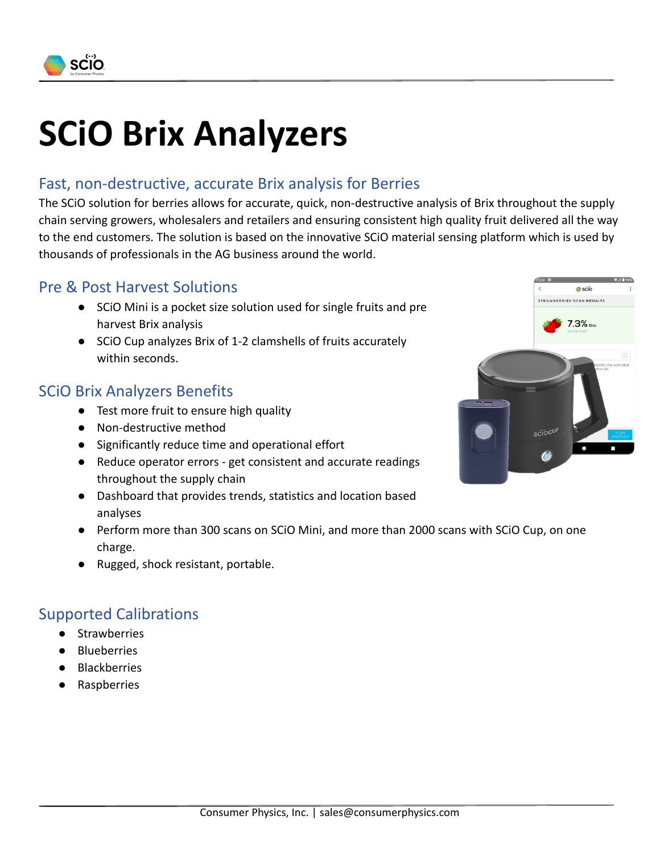

# **SCiO Brix Analyzers**

## Fast, non-destructive, accurate Brix analysis for Berries

The SCiO solution for berries allows for accurate, quick, non-destructive analysis of Brix throughout the supply chain serving growers, wholesalers and retailers and ensuring consistent high quality fruit delivered all the way to the end customers. The solution is based on the innovative SCiO material sensing platform which is used by thousands of professionals in the AG business around the world.

#### Pre & Post Harvest Solutions

- SCiO Mini is a pocket size solution used for single fruits and pre harvest Brix analysis
- SCiO Cup analyzes Brix of 1-2 clamshells of fruits accurately within seconds.

### SCiO Brix Analyzers Benefits

- Test more fruit to ensure high quality
- Non-destructive method
- Significantly reduce time and operational effort
- Reduce operator errors get consistent and accurate readings throughout the supply chain
- Dashboard that provides trends, statistics and location based analyses
- Perform more than 300 scans on SCiO Mini, and more than 2000 scans with SCiO Cup, on one charge.
- Rugged, shock resistant, portable.

### Supported Calibrations

- **Strawberries**
- **Blueberries**
- **Blackberries**
- **Raspberries**

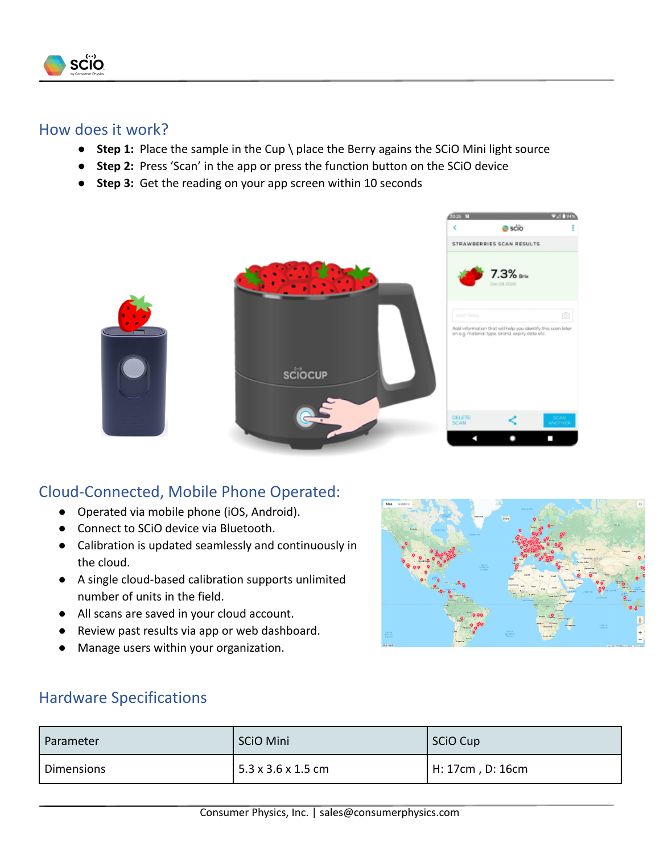

#### How does it work?

- **Step 1:** Place the sample in the Cup \ place the Berry agains the SCiO Mini light source
- **Step 2:** Press 'Scan' in the app or press the function button on the SCiO device
- **Step 3:** Get the reading on your app screen within 10 seconds



# Cloud-Connected, Mobile Phone Operated:

- Operated via mobile phone (iOS, Android).
- Connect to SCiO device via Bluetooth.
- Calibration is updated seamlessly and continuously in the cloud.
- A single cloud-based calibration supports unlimited number of units in the field.
- All scans are saved in your cloud account.
- Review past results via app or web dashboard.
- Manage users within your organization.



### Hardware Specifications

| Parameter  | SCiO Mini          | <b>SCiO Cup</b>  |
|------------|--------------------|------------------|
| Dimensions | 5.3 x 3.6 x 1.5 cm | H: 17cm, D: 16cm |